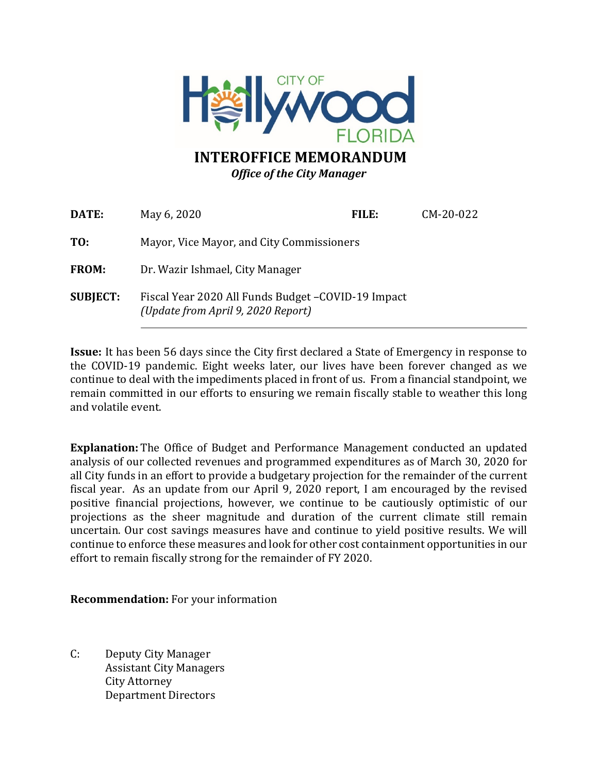

# **INTEROFFICE MEMORANDUM** *Office of the City Manager*

| DATE:           | May 6, 2020                                                                               | FILE: | CM-20-022 |  |  |
|-----------------|-------------------------------------------------------------------------------------------|-------|-----------|--|--|
| TO:             | Mayor, Vice Mayor, and City Commissioners                                                 |       |           |  |  |
| <b>FROM:</b>    | Dr. Wazir Ishmael, City Manager                                                           |       |           |  |  |
| <b>SUBJECT:</b> | Fiscal Year 2020 All Funds Budget - COVID-19 Impact<br>(Update from April 9, 2020 Report) |       |           |  |  |

**Issue:** It has been 56 days since the City first declared a State of Emergency in response to the COVID-19 pandemic. Eight weeks later, our lives have been forever changed as we continue to deal with the impediments placed in front of us. From a financial standpoint, we remain committed in our efforts to ensuring we remain fiscally stable to weather this long and volatile event.

**Explanation:** The Office of Budget and Performance Management conducted an updated analysis of our collected revenues and programmed expenditures as of March 30, 2020 for all City funds in an effort to provide a budgetary projection for the remainder of the current fiscal year. As an update from our April 9, 2020 report, I am encouraged by the revised positive financial projections, however, we continue to be cautiously optimistic of our projections as the sheer magnitude and duration of the current climate still remain uncertain. Our cost savings measures have and continue to yield positive results. We will continue to enforce these measures and look for other cost containment opportunities in our effort to remain fiscally strong for the remainder of FY 2020.

**Recommendation:** For your information

C: Deputy City Manager Assistant City Managers City Attorney Department Directors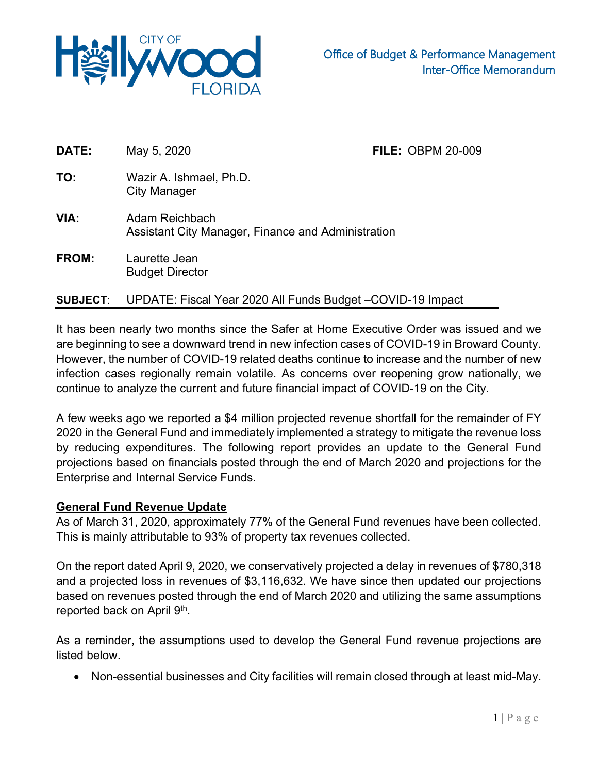

| DATE:        | May 5, 2020                                                          | <b>FILE: OBPM 20-009</b> |
|--------------|----------------------------------------------------------------------|--------------------------|
| TO:          | Wazir A. Ishmael, Ph.D.<br><b>City Manager</b>                       |                          |
| VIA:         | Adam Reichbach<br>Assistant City Manager, Finance and Administration |                          |
| <b>FROM:</b> | Laurette Jean<br><b>Budget Director</b>                              |                          |

### **SUBJECT**: UPDATE: Fiscal Year 2020 All Funds Budget –COVID-19 Impact

It has been nearly two months since the Safer at Home Executive Order was issued and we are beginning to see a downward trend in new infection cases of COVID-19 in Broward County. However, the number of COVID-19 related deaths continue to increase and the number of new infection cases regionally remain volatile. As concerns over reopening grow nationally, we continue to analyze the current and future financial impact of COVID-19 on the City.

A few weeks ago we reported a \$4 million projected revenue shortfall for the remainder of FY 2020 in the General Fund and immediately implemented a strategy to mitigate the revenue loss by reducing expenditures. The following report provides an update to the General Fund projections based on financials posted through the end of March 2020 and projections for the Enterprise and Internal Service Funds.

#### **General Fund Revenue Update**

As of March 31, 2020, approximately 77% of the General Fund revenues have been collected. This is mainly attributable to 93% of property tax revenues collected.

On the report dated April 9, 2020, we conservatively projected a delay in revenues of \$780,318 and a projected loss in revenues of \$3,116,632. We have since then updated our projections based on revenues posted through the end of March 2020 and utilizing the same assumptions reported back on April 9<sup>th</sup>.

As a reminder, the assumptions used to develop the General Fund revenue projections are listed below.

• Non-essential businesses and City facilities will remain closed through at least mid-May.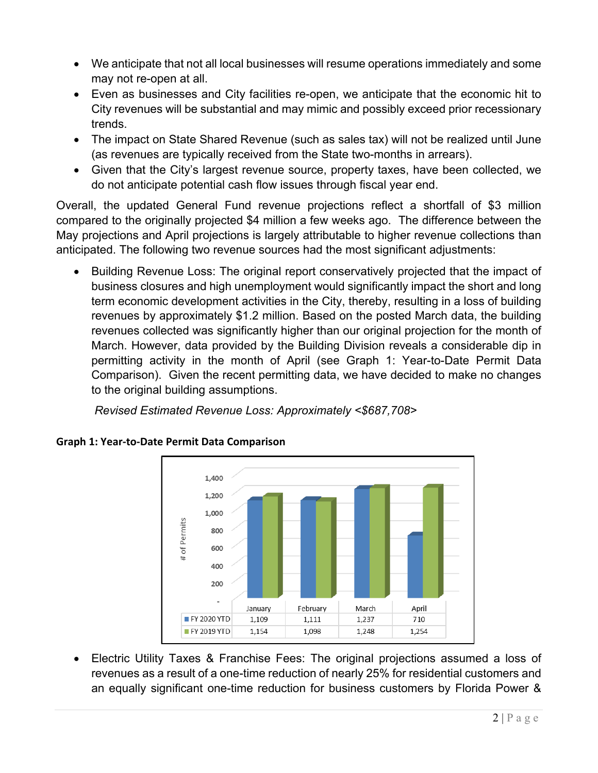- We anticipate that not all local businesses will resume operations immediately and some may not re-open at all.
- Even as businesses and City facilities re-open, we anticipate that the economic hit to City revenues will be substantial and may mimic and possibly exceed prior recessionary trends.
- The impact on State Shared Revenue (such as sales tax) will not be realized until June (as revenues are typically received from the State two-months in arrears).
- Given that the City's largest revenue source, property taxes, have been collected, we do not anticipate potential cash flow issues through fiscal year end.

Overall, the updated General Fund revenue projections reflect a shortfall of \$3 million compared to the originally projected \$4 million a few weeks ago. The difference between the May projections and April projections is largely attributable to higher revenue collections than anticipated. The following two revenue sources had the most significant adjustments:

• Building Revenue Loss: The original report conservatively projected that the impact of business closures and high unemployment would significantly impact the short and long term economic development activities in the City, thereby, resulting in a loss of building revenues by approximately \$1.2 million. Based on the posted March data, the building revenues collected was significantly higher than our original projection for the month of March. However, data provided by the Building Division reveals a considerable dip in permitting activity in the month of April (see Graph 1: Year-to-Date Permit Data Comparison). Given the recent permitting data, we have decided to make no changes to the original building assumptions.

*Revised Estimated Revenue Loss: Approximately <\$687,708>*



# **Graph 1: Year-to-Date Permit Data Comparison**

• Electric Utility Taxes & Franchise Fees: The original projections assumed a loss of revenues as a result of a one-time reduction of nearly 25% for residential customers and an equally significant one-time reduction for business customers by Florida Power &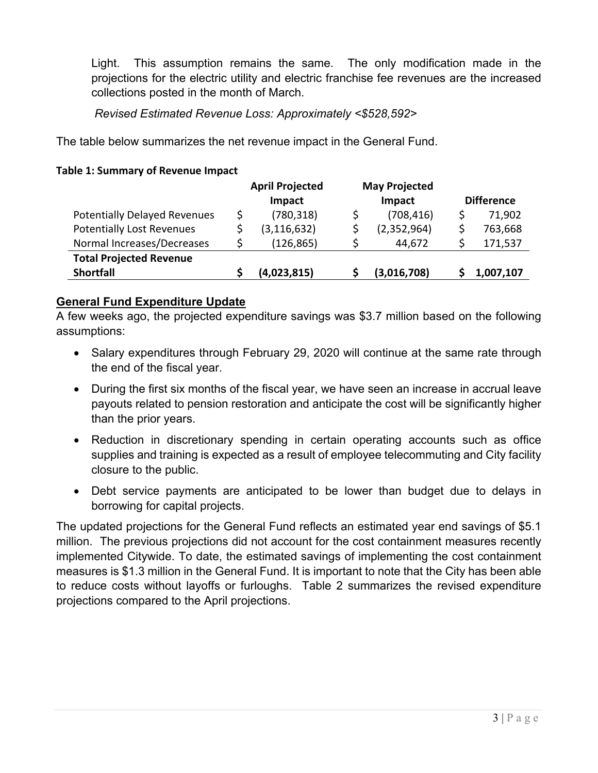Light. This assumption remains the same. The only modification made in the projections for the electric utility and electric franchise fee revenues are the increased collections posted in the month of March.

### *Revised Estimated Revenue Loss: Approximately <\$528,592>*

The table below summarizes the net revenue impact in the General Fund.

|                                     |   | <b>April Projected</b><br>Impact | <b>May Projected</b><br>Impact |             | <b>Difference</b> |           |
|-------------------------------------|---|----------------------------------|--------------------------------|-------------|-------------------|-----------|
| <b>Potentially Delayed Revenues</b> | S | (780, 318)                       |                                | (708, 416)  |                   | 71,902    |
| <b>Potentially Lost Revenues</b>    |   | (3, 116, 632)                    |                                | (2,352,964) |                   | 763,668   |
| Normal Increases/Decreases          |   | (126, 865)                       |                                | 44,672      |                   | 171,537   |
| <b>Total Projected Revenue</b>      |   |                                  |                                |             |                   |           |
| <b>Shortfall</b>                    |   | (4,023,815)                      |                                | (3,016,708) |                   | 1,007,107 |

#### **Table 1: Summary of Revenue Impact**

### **General Fund Expenditure Update**

A few weeks ago, the projected expenditure savings was \$3.7 million based on the following assumptions:

- Salary expenditures through February 29, 2020 will continue at the same rate through the end of the fiscal year.
- During the first six months of the fiscal year, we have seen an increase in accrual leave payouts related to pension restoration and anticipate the cost will be significantly higher than the prior years.
- Reduction in discretionary spending in certain operating accounts such as office supplies and training is expected as a result of employee telecommuting and City facility closure to the public.
- Debt service payments are anticipated to be lower than budget due to delays in borrowing for capital projects.

The updated projections for the General Fund reflects an estimated year end savings of \$5.1 million. The previous projections did not account for the cost containment measures recently implemented Citywide. To date, the estimated savings of implementing the cost containment measures is \$1.3 million in the General Fund. It is important to note that the City has been able to reduce costs without layoffs or furloughs. Table 2 summarizes the revised expenditure projections compared to the April projections.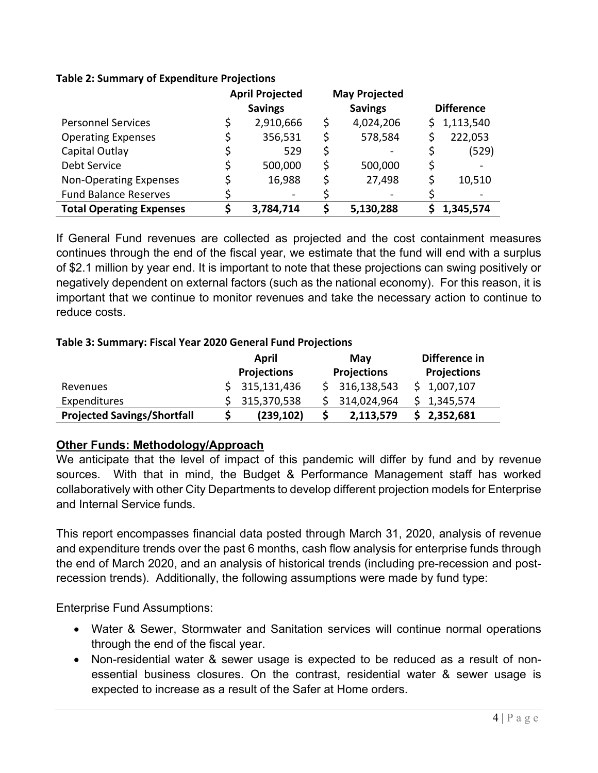### **Table 2: Summary of Expenditure Projections**

|                                 | <b>April Projected</b> |    | <b>May Projected</b> |    |                   |
|---------------------------------|------------------------|----|----------------------|----|-------------------|
|                                 | <b>Savings</b>         |    | <b>Savings</b>       |    | <b>Difference</b> |
| <b>Personnel Services</b>       | 2,910,666              | \$ | 4,024,206            | S. | 1,113,540         |
| <b>Operating Expenses</b>       | 356,531                | S  | 578,584              |    | 222,053           |
| Capital Outlay                  | 529                    | \$ |                      |    | (529)             |
| Debt Service                    | 500,000                | \$ | 500,000              | Ş  |                   |
| <b>Non-Operating Expenses</b>   | 16,988                 | \$ | 27,498               |    | 10,510            |
| <b>Fund Balance Reserves</b>    |                        |    |                      |    |                   |
| <b>Total Operating Expenses</b> | 3,784,714              | ς  | 5,130,288            |    | 1,345,574         |

If General Fund revenues are collected as projected and the cost containment measures continues through the end of the fiscal year, we estimate that the fund will end with a surplus of \$2.1 million by year end. It is important to note that these projections can swing positively or negatively dependent on external factors (such as the national economy). For this reason, it is important that we continue to monitor revenues and take the necessary action to continue to reduce costs.

### **Table 3: Summary: Fiscal Year 2020 General Fund Projections**

|                                    | April              |  | May                | Difference in      |  |
|------------------------------------|--------------------|--|--------------------|--------------------|--|
|                                    | <b>Projections</b> |  | <b>Projections</b> | <b>Projections</b> |  |
| Revenues                           | \$315,131,436      |  | 316,138,543        | \$1,007,107        |  |
| Expenditures                       | \$315,370,538      |  | 314,024,964        | 1,345,574          |  |
| <b>Projected Savings/Shortfall</b> | (239, 102)         |  | 2,113,579          | 2,352,681          |  |

# **Other Funds: Methodology/Approach**

We anticipate that the level of impact of this pandemic will differ by fund and by revenue sources. With that in mind, the Budget & Performance Management staff has worked collaboratively with other City Departments to develop different projection models for Enterprise and Internal Service funds.

This report encompasses financial data posted through March 31, 2020, analysis of revenue and expenditure trends over the past 6 months, cash flow analysis for enterprise funds through the end of March 2020, and an analysis of historical trends (including pre-recession and postrecession trends). Additionally, the following assumptions were made by fund type:

Enterprise Fund Assumptions:

- Water & Sewer, Stormwater and Sanitation services will continue normal operations through the end of the fiscal year.
- Non-residential water & sewer usage is expected to be reduced as a result of nonessential business closures. On the contrast, residential water & sewer usage is expected to increase as a result of the Safer at Home orders.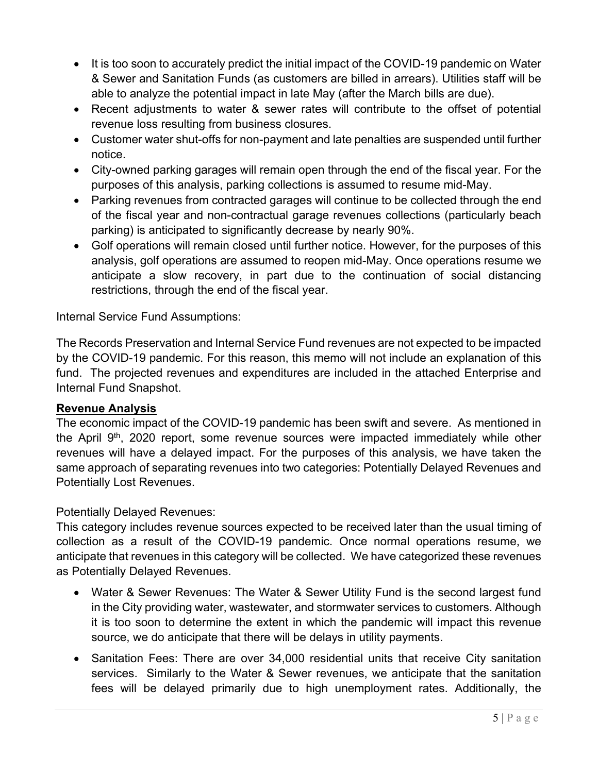- It is too soon to accurately predict the initial impact of the COVID-19 pandemic on Water & Sewer and Sanitation Funds (as customers are billed in arrears). Utilities staff will be able to analyze the potential impact in late May (after the March bills are due).
- Recent adjustments to water & sewer rates will contribute to the offset of potential revenue loss resulting from business closures.
- Customer water shut-offs for non-payment and late penalties are suspended until further notice.
- City-owned parking garages will remain open through the end of the fiscal year. For the purposes of this analysis, parking collections is assumed to resume mid-May.
- Parking revenues from contracted garages will continue to be collected through the end of the fiscal year and non-contractual garage revenues collections (particularly beach parking) is anticipated to significantly decrease by nearly 90%.
- Golf operations will remain closed until further notice. However, for the purposes of this analysis, golf operations are assumed to reopen mid-May. Once operations resume we anticipate a slow recovery, in part due to the continuation of social distancing restrictions, through the end of the fiscal year.

Internal Service Fund Assumptions:

The Records Preservation and Internal Service Fund revenues are not expected to be impacted by the COVID-19 pandemic. For this reason, this memo will not include an explanation of this fund. The projected revenues and expenditures are included in the attached Enterprise and Internal Fund Snapshot.

# **Revenue Analysis**

The economic impact of the COVID-19 pandemic has been swift and severe. As mentioned in the April  $9<sup>th</sup>$ , 2020 report, some revenue sources were impacted immediately while other revenues will have a delayed impact. For the purposes of this analysis, we have taken the same approach of separating revenues into two categories: Potentially Delayed Revenues and Potentially Lost Revenues.

# Potentially Delayed Revenues:

This category includes revenue sources expected to be received later than the usual timing of collection as a result of the COVID-19 pandemic. Once normal operations resume, we anticipate that revenues in this category will be collected. We have categorized these revenues as Potentially Delayed Revenues.

- Water & Sewer Revenues: The Water & Sewer Utility Fund is the second largest fund in the City providing water, wastewater, and stormwater services to customers. Although it is too soon to determine the extent in which the pandemic will impact this revenue source, we do anticipate that there will be delays in utility payments.
- Sanitation Fees: There are over 34,000 residential units that receive City sanitation services. Similarly to the Water & Sewer revenues, we anticipate that the sanitation fees will be delayed primarily due to high unemployment rates. Additionally, the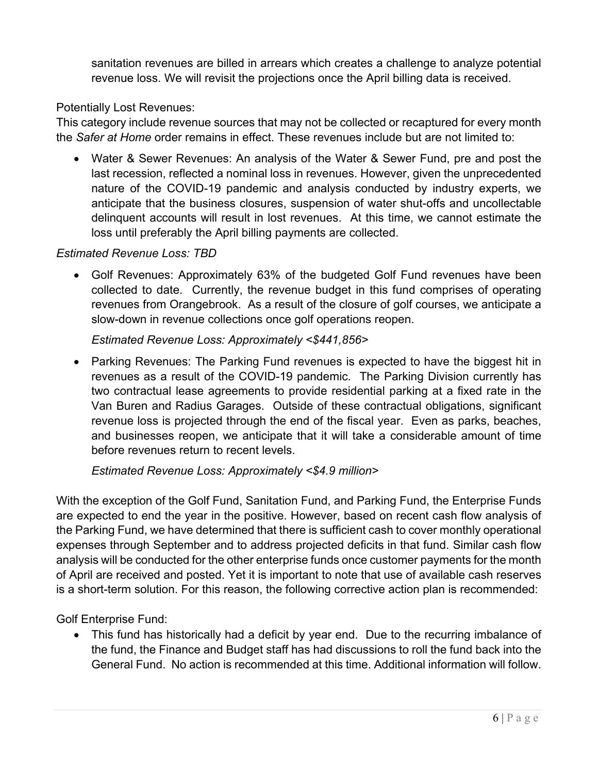sanitation revenues are billed in arrears which creates a challenge to analyze potential revenue loss. We will revisit the projections once the April billing data is received.

### Potentially Lost Revenues:

This category include revenue sources that may not be collected or recaptured for every month the *Safer at Home* order remains in effect. These revenues include but are not limited to:

• Water & Sewer Revenues: An analysis of the Water & Sewer Fund, pre and post the last recession, reflected a nominal loss in revenues. However, given the unprecedented nature of the COVID-19 pandemic and analysis conducted by industry experts, we anticipate that the business closures, suspension of water shut-offs and uncollectable delinquent accounts will result in lost revenues. At this time, we cannot estimate the loss until preferably the April billing payments are collected.

### *Estimated Revenue Loss: TBD*

• Golf Revenues: Approximately 63% of the budgeted Golf Fund revenues have been collected to date. Currently, the revenue budget in this fund comprises of operating revenues from Orangebrook. As a result of the closure of golf courses, we anticipate a slow-down in revenue collections once golf operations reopen.

### *Estimated Revenue Loss: Approximately <\$441,856>*

• Parking Revenues: The Parking Fund revenues is expected to have the biggest hit in revenues as a result of the COVID-19 pandemic. The Parking Division currently has two contractual lease agreements to provide residential parking at a fixed rate in the Van Buren and Radius Garages. Outside of these contractual obligations, significant revenue loss is projected through the end of the fiscal year. Even as parks, beaches, and businesses reopen, we anticipate that it will take a considerable amount of time before revenues return to recent levels.

# *Estimated Revenue Loss: Approximately <\$4.9 million>*

With the exception of the Golf Fund, Sanitation Fund, and Parking Fund, the Enterprise Funds are expected to end the year in the positive. However, based on recent cash flow analysis of the Parking Fund, we have determined that there is sufficient cash to cover monthly operational expenses through September and to address projected deficits in that fund. Similar cash flow analysis will be conducted for the other enterprise funds once customer payments for the month of April are received and posted. Yet it is important to note that use of available cash reserves is a short-term solution. For this reason, the following corrective action plan is recommended:

Golf Enterprise Fund:

• This fund has historically had a deficit by year end. Due to the recurring imbalance of the fund, the Finance and Budget staff has had discussions to roll the fund back into the General Fund. No action is recommended at this time. Additional information will follow.